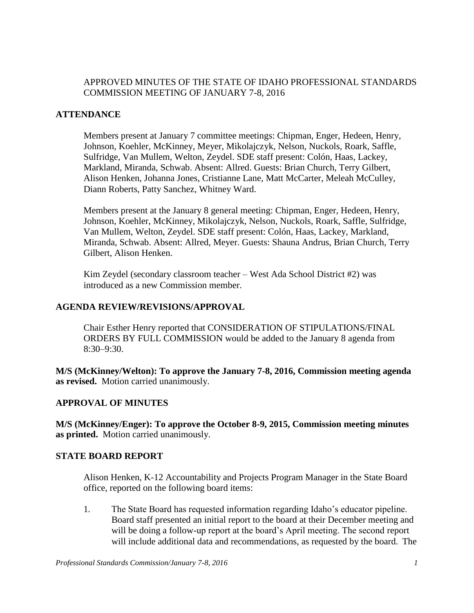## APPROVED MINUTES OF THE STATE OF IDAHO PROFESSIONAL STANDARDS COMMISSION MEETING OF JANUARY 7-8, 2016

## **ATTENDANCE**

Members present at January 7 committee meetings: Chipman, Enger, Hedeen, Henry, Johnson, Koehler, McKinney, Meyer, Mikolajczyk, Nelson, Nuckols, Roark, Saffle, Sulfridge, Van Mullem, Welton, Zeydel. SDE staff present: Colón, Haas, Lackey, Markland, Miranda, Schwab. Absent: Allred. Guests: Brian Church, Terry Gilbert, Alison Henken, Johanna Jones, Cristianne Lane, Matt McCarter, Meleah McCulley, Diann Roberts, Patty Sanchez, Whitney Ward.

Members present at the January 8 general meeting: Chipman, Enger, Hedeen, Henry, Johnson, Koehler, McKinney, Mikolajczyk, Nelson, Nuckols, Roark, Saffle, Sulfridge, Van Mullem, Welton, Zeydel. SDE staff present: Colón, Haas, Lackey, Markland, Miranda, Schwab. Absent: Allred, Meyer. Guests: Shauna Andrus, Brian Church, Terry Gilbert, Alison Henken.

Kim Zeydel (secondary classroom teacher – West Ada School District #2) was introduced as a new Commission member.

#### **AGENDA REVIEW/REVISIONS/APPROVAL**

Chair Esther Henry reported that CONSIDERATION OF STIPULATIONS/FINAL ORDERS BY FULL COMMISSION would be added to the January 8 agenda from 8:30–9:30.

**M/S (McKinney/Welton): To approve the January 7-8, 2016, Commission meeting agenda as revised.** Motion carried unanimously.

## **APPROVAL OF MINUTES**

**M/S (McKinney/Enger): To approve the October 8-9, 2015, Commission meeting minutes as printed.** Motion carried unanimously.

#### **STATE BOARD REPORT**

Alison Henken, K-12 Accountability and Projects Program Manager in the State Board office, reported on the following board items:

1. The State Board has requested information regarding Idaho's educator pipeline. Board staff presented an initial report to the board at their December meeting and will be doing a follow-up report at the board's April meeting. The second report will include additional data and recommendations, as requested by the board. The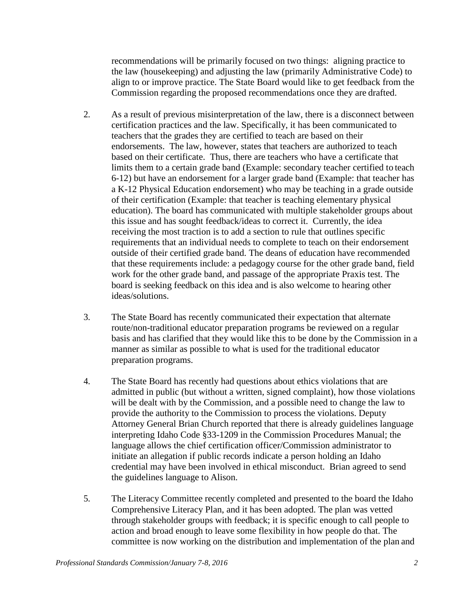recommendations will be primarily focused on two things: aligning practice to the law (housekeeping) and adjusting the law (primarily Administrative Code) to align to or improve practice. The State Board would like to get feedback from the Commission regarding the proposed recommendations once they are drafted.

- 2. As a result of previous misinterpretation of the law, there is a disconnect between certification practices and the law. Specifically, it has been communicated to teachers that the grades they are certified to teach are based on their endorsements. The law, however, states that teachers are authorized to teach based on their certificate. Thus, there are teachers who have a certificate that limits them to a certain grade band (Example: secondary teacher certified to teach 6-12) but have an endorsement for a larger grade band (Example: that teacher has a K-12 Physical Education endorsement) who may be teaching in a grade outside of their certification (Example: that teacher is teaching elementary physical education). The board has communicated with multiple stakeholder groups about this issue and has sought feedback/ideas to correct it. Currently, the idea receiving the most traction is to add a section to rule that outlines specific requirements that an individual needs to complete to teach on their endorsement outside of their certified grade band. The deans of education have recommended that these requirements include: a pedagogy course for the other grade band, field work for the other grade band, and passage of the appropriate Praxis test. The board is seeking feedback on this idea and is also welcome to hearing other ideas/solutions.
- 3. The State Board has recently communicated their expectation that alternate route/non-traditional educator preparation programs be reviewed on a regular basis and has clarified that they would like this to be done by the Commission in a manner as similar as possible to what is used for the traditional educator preparation programs.
- 4. The State Board has recently had questions about ethics violations that are admitted in public (but without a written, signed complaint), how those violations will be dealt with by the Commission, and a possible need to change the law to provide the authority to the Commission to process the violations. Deputy Attorney General Brian Church reported that there is already guidelines language interpreting Idaho Code §33-1209 in the Commission Procedures Manual; the language allows the chief certification officer/Commission administrator to initiate an allegation if public records indicate a person holding an Idaho credential may have been involved in ethical misconduct. Brian agreed to send the guidelines language to Alison.
- 5. The Literacy Committee recently completed and presented to the board the Idaho Comprehensive Literacy Plan, and it has been adopted. The plan was vetted through stakeholder groups with feedback; it is specific enough to call people to action and broad enough to leave some flexibility in how people do that. The committee is now working on the distribution and implementation of the plan and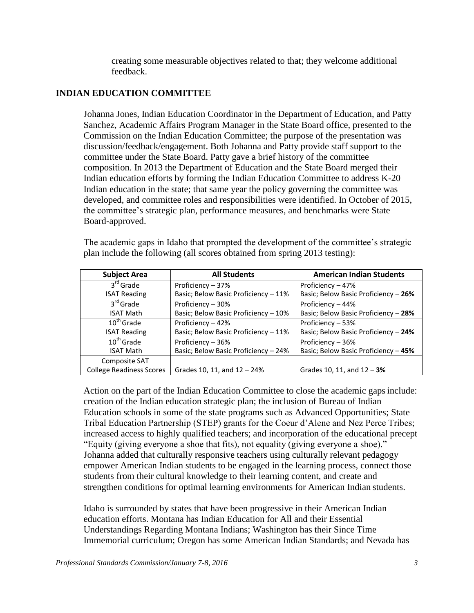creating some measurable objectives related to that; they welcome additional feedback.

## **INDIAN EDUCATION COMMITTEE**

Johanna Jones, Indian Education Coordinator in the Department of Education, and Patty Sanchez, Academic Affairs Program Manager in the State Board office, presented to the Commission on the Indian Education Committee; the purpose of the presentation was discussion/feedback/engagement. Both Johanna and Patty provide staff support to the committee under the State Board. Patty gave a brief history of the committee composition. In 2013 the Department of Education and the State Board merged their Indian education efforts by forming the Indian Education Committee to address K-20 Indian education in the state; that same year the policy governing the committee was developed, and committee roles and responsibilities were identified. In October of 2015, the committee's strategic plan, performance measures, and benchmarks were State Board-approved.

| <b>Subject Area</b>             | <b>All Students</b>                  | <b>American Indian Students</b>      |
|---------------------------------|--------------------------------------|--------------------------------------|
| $3rd$ Grade                     | Proficiency - 37%                    | Proficiency - 47%                    |
| <b>ISAT Reading</b>             | Basic; Below Basic Proficiency - 11% | Basic; Below Basic Proficiency - 26% |
| 3 <sup>rd</sup> Grade           | Proficiency - 30%                    | Proficiency - 44%                    |
| <b>ISAT Math</b>                | Basic; Below Basic Proficiency - 10% | Basic; Below Basic Proficiency - 28% |
| $10^{\text{th}}$ Grade          | Proficiency - 42%                    | Proficiency - 53%                    |
| <b>ISAT Reading</b>             | Basic; Below Basic Proficiency - 11% | Basic; Below Basic Proficiency - 24% |
| $10th$ Grade                    | Proficiency - 36%                    | Proficiency - 36%                    |
| <b>ISAT Math</b>                | Basic; Below Basic Proficiency - 24% | Basic; Below Basic Proficiency - 45% |
| Composite SAT                   |                                      |                                      |
| <b>College Readiness Scores</b> | Grades 10, 11, and 12 - 24%          | Grades 10, 11, and $12 - 3\%$        |

The academic gaps in Idaho that prompted the development of the committee's strategic plan include the following (all scores obtained from spring 2013 testing):

Action on the part of the Indian Education Committee to close the academic gapsinclude: creation of the Indian education strategic plan; the inclusion of Bureau of Indian Education schools in some of the state programs such as Advanced Opportunities; State Tribal Education Partnership (STEP) grants for the Coeur d'Alene and Nez Perce Tribes; increased access to highly qualified teachers; and incorporation of the educational precept "Equity (giving everyone a shoe that fits), not equality (giving everyone a shoe)." Johanna added that culturally responsive teachers using culturally relevant pedagogy empower American Indian students to be engaged in the learning process, connect those students from their cultural knowledge to their learning content, and create and strengthen conditions for optimal learning environments for American Indian students.

Idaho is surrounded by states that have been progressive in their American Indian education efforts. Montana has Indian Education for All and their Essential Understandings Regarding Montana Indians; Washington has their Since Time Immemorial curriculum; Oregon has some American Indian Standards; and Nevada has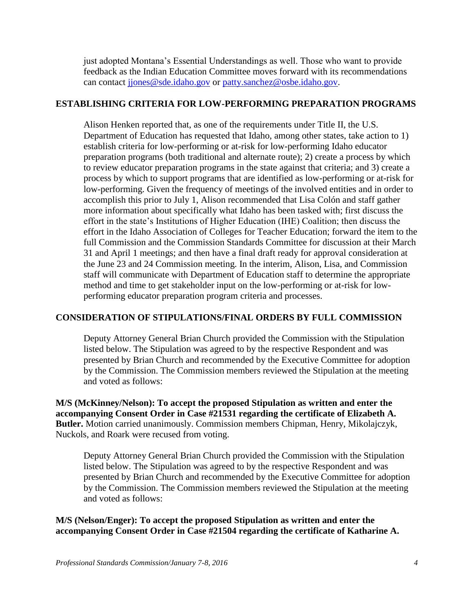just adopted Montana's Essential Understandings as well. Those who want to provide feedback as the Indian Education Committee moves forward with its recommendations can contact [jjones@sde.idaho.gov](mailto:jjones@sde.idaho.gov) or [patty.sanchez@osbe.idaho.gov.](mailto:patty.sanchez@osbe.idaho.gov)

## **ESTABLISHING CRITERIA FOR LOW-PERFORMING PREPARATION PROGRAMS**

Alison Henken reported that, as one of the requirements under Title II, the U.S. Department of Education has requested that Idaho, among other states, take action to 1) establish criteria for low-performing or at-risk for low-performing Idaho educator preparation programs (both traditional and alternate route); 2) create a process by which to review educator preparation programs in the state against that criteria; and 3) create a process by which to support programs that are identified as low-performing or at-risk for low-performing. Given the frequency of meetings of the involved entities and in order to accomplish this prior to July 1, Alison recommended that Lisa Colón and staff gather more information about specifically what Idaho has been tasked with; first discuss the effort in the state's Institutions of Higher Education (IHE) Coalition; then discuss the effort in the Idaho Association of Colleges for Teacher Education; forward the item to the full Commission and the Commission Standards Committee for discussion at their March 31 and April 1 meetings; and then have a final draft ready for approval consideration at the June 23 and 24 Commission meeting. In the interim, Alison, Lisa, and Commission staff will communicate with Department of Education staff to determine the appropriate method and time to get stakeholder input on the low-performing or at-risk for lowperforming educator preparation program criteria and processes.

## **CONSIDERATION OF STIPULATIONS/FINAL ORDERS BY FULL COMMISSION**

Deputy Attorney General Brian Church provided the Commission with the Stipulation listed below. The Stipulation was agreed to by the respective Respondent and was presented by Brian Church and recommended by the Executive Committee for adoption by the Commission. The Commission members reviewed the Stipulation at the meeting and voted as follows:

**M/S (McKinney/Nelson): To accept the proposed Stipulation as written and enter the accompanying Consent Order in Case #21531 regarding the certificate of Elizabeth A. Butler.** Motion carried unanimously. Commission members Chipman, Henry, Mikolajczyk, Nuckols, and Roark were recused from voting.

Deputy Attorney General Brian Church provided the Commission with the Stipulation listed below. The Stipulation was agreed to by the respective Respondent and was presented by Brian Church and recommended by the Executive Committee for adoption by the Commission. The Commission members reviewed the Stipulation at the meeting and voted as follows:

**M/S (Nelson/Enger): To accept the proposed Stipulation as written and enter the accompanying Consent Order in Case #21504 regarding the certificate of Katharine A.**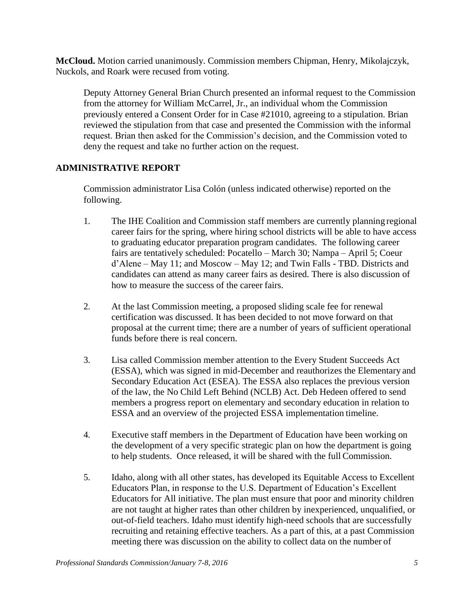**McCloud.** Motion carried unanimously. Commission members Chipman, Henry, Mikolajczyk, Nuckols, and Roark were recused from voting.

Deputy Attorney General Brian Church presented an informal request to the Commission from the attorney for William McCarrel, Jr., an individual whom the Commission previously entered a Consent Order for in Case #21010, agreeing to a stipulation. Brian reviewed the stipulation from that case and presented the Commission with the informal request. Brian then asked for the Commission's decision, and the Commission voted to deny the request and take no further action on the request.

## **ADMINISTRATIVE REPORT**

Commission administrator Lisa Colón (unless indicated otherwise) reported on the following.

- 1. The IHE Coalition and Commission staff members are currently planning regional career fairs for the spring, where hiring school districts will be able to have access to graduating educator preparation program candidates. The following career fairs are tentatively scheduled: Pocatello – March 30; Nampa – April 5; Coeur d'Alene – May 11; and Moscow – May 12; and Twin Falls - TBD. Districts and candidates can attend as many career fairs as desired. There is also discussion of how to measure the success of the career fairs.
- 2. At the last Commission meeting, a proposed sliding scale fee for renewal certification was discussed. It has been decided to not move forward on that proposal at the current time; there are a number of years of sufficient operational funds before there is real concern.
- 3. Lisa called Commission member attention to the Every Student Succeeds Act (ESSA), which was signed in mid-December and reauthorizes the Elementary and Secondary Education Act (ESEA). The ESSA also replaces the previous version of the law, the No Child Left Behind (NCLB) Act. Deb Hedeen offered to send members a progress report on elementary and secondary education in relation to ESSA and an overview of the projected ESSA implementation timeline.
- 4. Executive staff members in the Department of Education have been working on the development of a very specific strategic plan on how the department is going to help students. Once released, it will be shared with the full Commission.
- 5. Idaho, along with all other states, has developed its Equitable Access to Excellent Educators Plan, in response to the U.S. Department of Education's Excellent Educators for All initiative. The plan must ensure that poor and minority children are not taught at higher rates than other children by inexperienced, unqualified, or out-of-field teachers. Idaho must identify high-need schools that are successfully recruiting and retaining effective teachers. As a part of this, at a past Commission meeting there was discussion on the ability to collect data on the number of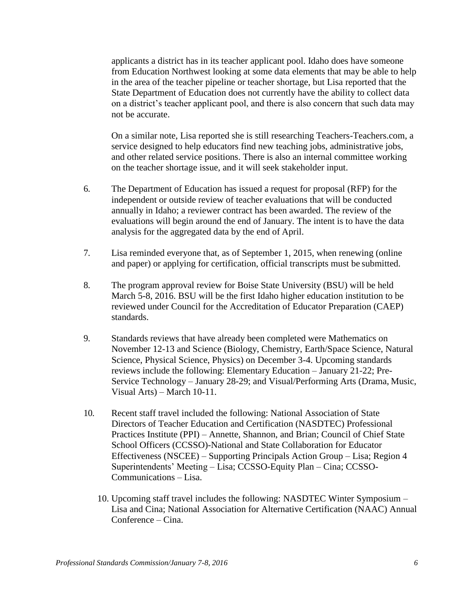applicants a district has in its teacher applicant pool. Idaho does have someone from Education Northwest looking at some data elements that may be able to help in the area of the teacher pipeline or teacher shortage, but Lisa reported that the State Department of Education does not currently have the ability to collect data on a district's teacher applicant pool, and there is also concern that such data may not be accurate.

On a similar note, Lisa reported she is still researching Teachers-Teachers.com, a service designed to help educators find new teaching jobs, administrative jobs, and other related service positions. There is also an internal committee working on the teacher shortage issue, and it will seek stakeholder input.

- 6. The Department of Education has issued a request for proposal (RFP) for the independent or outside review of teacher evaluations that will be conducted annually in Idaho; a reviewer contract has been awarded. The review of the evaluations will begin around the end of January. The intent is to have the data analysis for the aggregated data by the end of April.
- 7. Lisa reminded everyone that, as of September 1, 2015, when renewing (online and paper) or applying for certification, official transcripts must be submitted.
- 8. The program approval review for Boise State University (BSU) will be held March 5-8, 2016. BSU will be the first Idaho higher education institution to be reviewed under Council for the Accreditation of Educator Preparation (CAEP) standards.
- 9. Standards reviews that have already been completed were Mathematics on November 12-13 and Science (Biology, Chemistry, Earth/Space Science, Natural Science, Physical Science, Physics) on December 3-4. Upcoming standards reviews include the following: Elementary Education – January 21-22; Pre-Service Technology – January 28-29; and Visual/Performing Arts (Drama, Music, Visual Arts) – March 10-11.
- 10. Recent staff travel included the following: National Association of State Directors of Teacher Education and Certification (NASDTEC) Professional Practices Institute (PPI) – Annette, Shannon, and Brian; Council of Chief State School Officers (CCSSO)-National and State Collaboration for Educator Effectiveness (NSCEE) – Supporting Principals Action Group – Lisa; Region 4 Superintendents' Meeting – Lisa; CCSSO-Equity Plan – Cina; CCSSO-Communications – Lisa.
	- 10. Upcoming staff travel includes the following: NASDTEC Winter Symposium Lisa and Cina; National Association for Alternative Certification (NAAC) Annual Conference – Cina.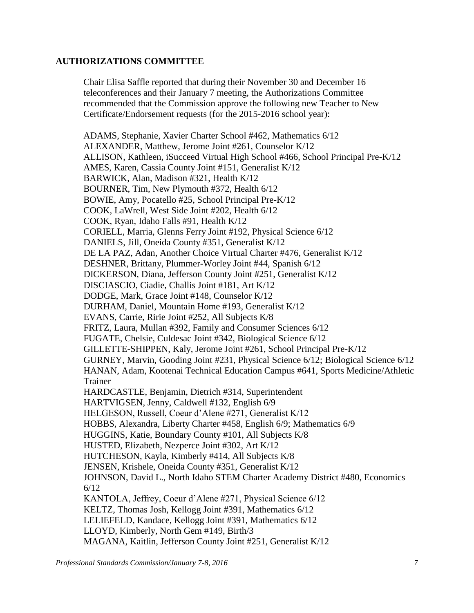## **AUTHORIZATIONS COMMITTEE**

Chair Elisa Saffle reported that during their November 30 and December 16 teleconferences and their January 7 meeting, the Authorizations Committee recommended that the Commission approve the following new Teacher to New Certificate/Endorsement requests (for the 2015-2016 school year):

ADAMS, Stephanie, Xavier Charter School #462, Mathematics 6/12 ALEXANDER, Matthew, Jerome Joint #261, Counselor K/12 ALLISON, Kathleen, iSucceed Virtual High School #466, School Principal Pre-K/12 AMES, Karen, Cassia County Joint #151, Generalist K/12 BARWICK, Alan, Madison #321, Health K/12 BOURNER, Tim, New Plymouth #372, Health 6/12 BOWIE, Amy, Pocatello #25, School Principal Pre-K/12 COOK, LaWrell, West Side Joint #202, Health 6/12 COOK, Ryan, Idaho Falls #91, Health K/12 CORIELL, Marria, Glenns Ferry Joint #192, Physical Science 6/12 DANIELS, Jill, Oneida County #351, Generalist K/12 DE LA PAZ, Adan, Another Choice Virtual Charter #476, Generalist K/12 DESHNER, Brittany, Plummer-Worley Joint #44, Spanish 6/12 DICKERSON, Diana, Jefferson County Joint #251, Generalist K/12 DISCIASCIO, Ciadie, Challis Joint #181, Art K/12 DODGE, Mark, Grace Joint #148, Counselor K/12 DURHAM, Daniel, Mountain Home #193, Generalist K/12 EVANS, Carrie, Ririe Joint #252, All Subjects K/8 FRITZ, Laura, Mullan #392, Family and Consumer Sciences 6/12 FUGATE, Chelsie, Culdesac Joint #342, Biological Science 6/12 GILLETTE-SHIPPEN, Kaly, Jerome Joint #261, School Principal Pre-K/12 GURNEY, Marvin, Gooding Joint #231, Physical Science 6/12; Biological Science 6/12 HANAN, Adam, Kootenai Technical Education Campus #641, Sports Medicine/Athletic Trainer HARDCASTLE, Benjamin, Dietrich #314, Superintendent HARTVIGSEN, Jenny, Caldwell #132, English 6/9 HELGESON, Russell, Coeur d'Alene #271, Generalist K/12 HOBBS, Alexandra, Liberty Charter #458, English 6/9; Mathematics 6/9 HUGGINS, Katie, Boundary County #101, All Subjects K/8 HUSTED, Elizabeth, Nezperce Joint #302, Art K/12 HUTCHESON, Kayla, Kimberly #414, All Subjects K/8 JENSEN, Krishele, Oneida County #351, Generalist K/12 JOHNSON, David L., North Idaho STEM Charter Academy District #480, Economics 6/12 KANTOLA, Jeffrey, Coeur d'Alene #271, Physical Science 6/12 KELTZ, Thomas Josh, Kellogg Joint #391, Mathematics 6/12 LELIEFELD, Kandace, Kellogg Joint #391, Mathematics 6/12 LLOYD, Kimberly, North Gem #149, Birth/3 MAGANA, Kaitlin, Jefferson County Joint #251, Generalist K/12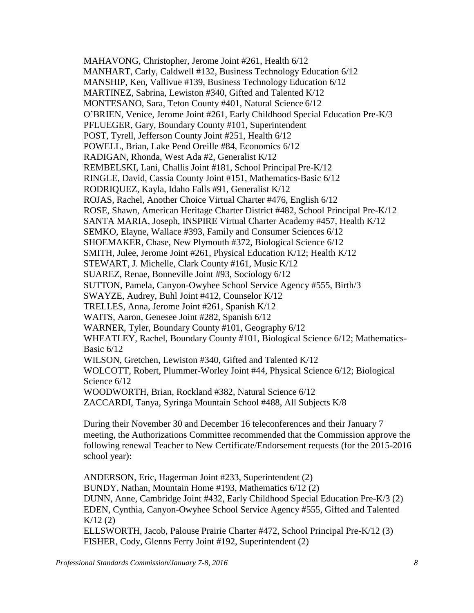MAHAVONG, Christopher, Jerome Joint #261, Health 6/12 MANHART, Carly, Caldwell #132, Business Technology Education 6/12 MANSHIP, Ken, Vallivue #139, Business Technology Education 6/12 MARTINEZ, Sabrina, Lewiston #340, Gifted and Talented K/12 MONTESANO, Sara, Teton County #401, Natural Science 6/12 O'BRIEN, Venice, Jerome Joint #261, Early Childhood Special Education Pre-K/3 PFLUEGER, Gary, Boundary County #101, Superintendent POST, Tyrell, Jefferson County Joint #251, Health 6/12 POWELL, Brian, Lake Pend Oreille #84, Economics 6/12 RADIGAN, Rhonda, West Ada #2, Generalist K/12 REMBELSKI, Lani, Challis Joint #181, School Principal Pre-K/12 RINGLE, David, Cassia County Joint #151, Mathematics-Basic 6/12 RODRIQUEZ, Kayla, Idaho Falls #91, Generalist K/12 ROJAS, Rachel, Another Choice Virtual Charter #476, English 6/12 ROSE, Shawn, American Heritage Charter District #482, School Principal Pre-K/12 SANTA MARIA, Joseph, INSPIRE Virtual Charter Academy #457, Health K/12 SEMKO, Elayne, Wallace #393, Family and Consumer Sciences 6/12 SHOEMAKER, Chase, New Plymouth #372, Biological Science 6/12 SMITH, Julee, Jerome Joint #261, Physical Education K/12; Health K/12 STEWART, J. Michelle, Clark County #161, Music K/12 SUAREZ, Renae, Bonneville Joint #93, Sociology 6/12 SUTTON, Pamela, Canyon-Owyhee School Service Agency #555, Birth/3 SWAYZE, Audrey, Buhl Joint #412, Counselor K/12 TRELLES, Anna, Jerome Joint #261, Spanish K/12 WAITS, Aaron, Genesee Joint #282, Spanish 6/12 WARNER, Tyler, Boundary County #101, Geography 6/12 WHEATLEY, Rachel, Boundary County #101, Biological Science 6/12; Mathematics-Basic 6/12 WILSON, Gretchen, Lewiston #340, Gifted and Talented K/12 WOLCOTT, Robert, Plummer-Worley Joint #44, Physical Science 6/12; Biological Science 6/12 WOODWORTH, Brian, Rockland #382, Natural Science 6/12 ZACCARDI, Tanya, Syringa Mountain School #488, All Subjects K/8

During their November 30 and December 16 teleconferences and their January 7 meeting, the Authorizations Committee recommended that the Commission approve the following renewal Teacher to New Certificate/Endorsement requests (for the 2015-2016 school year):

ANDERSON, Eric, Hagerman Joint #233, Superintendent (2) BUNDY, Nathan, Mountain Home #193, Mathematics 6/12 (2) DUNN, Anne, Cambridge Joint #432, Early Childhood Special Education Pre-K/3 (2) EDEN, Cynthia, Canyon-Owyhee School Service Agency #555, Gifted and Talented  $K/12(2)$ ELLSWORTH, Jacob, Palouse Prairie Charter #472, School Principal Pre-K/12 (3) FISHER, Cody, Glenns Ferry Joint #192, Superintendent (2)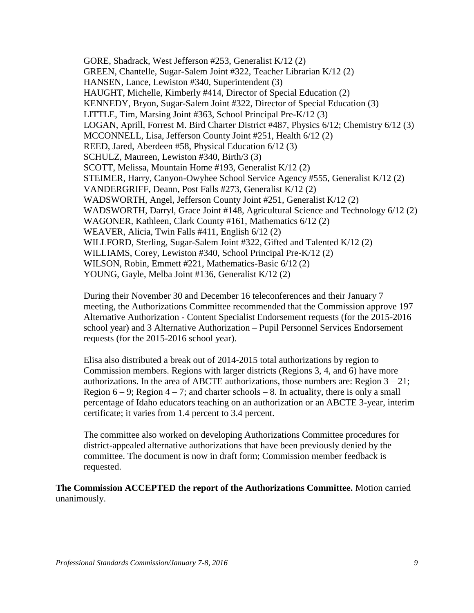GORE, Shadrack, West Jefferson #253, Generalist K/12 (2) GREEN, Chantelle, Sugar-Salem Joint #322, Teacher Librarian K/12 (2) HANSEN, Lance, Lewiston #340, Superintendent (3) HAUGHT, Michelle, Kimberly #414, Director of Special Education (2) KENNEDY, Bryon, Sugar-Salem Joint #322, Director of Special Education (3) LITTLE, Tim, Marsing Joint #363, School Principal Pre-K/12 (3) LOGAN, Aprill, Forrest M. Bird Charter District #487, Physics 6/12; Chemistry 6/12 (3) MCCONNELL, Lisa, Jefferson County Joint #251, Health 6/12 (2) REED, Jared, Aberdeen #58, Physical Education 6/12 (3) SCHULZ, Maureen, Lewiston #340, Birth/3 (3) SCOTT, Melissa, Mountain Home #193, Generalist K/12 (2) STEIMER, Harry, Canyon-Owyhee School Service Agency #555, Generalist K/12 (2) VANDERGRIFF, Deann, Post Falls #273, Generalist K/12 (2) WADSWORTH, Angel, Jefferson County Joint #251, Generalist K/12 (2) WADSWORTH, Darryl, Grace Joint #148, Agricultural Science and Technology 6/12 (2) WAGONER, Kathleen, Clark County #161, Mathematics 6/12 (2) WEAVER, Alicia, Twin Falls #411, English 6/12 (2) WILLFORD, Sterling, Sugar-Salem Joint #322, Gifted and Talented K/12 (2) WILLIAMS, Corey, Lewiston #340, School Principal Pre-K/12 (2) WILSON, Robin, Emmett #221, Mathematics-Basic 6/12 (2) YOUNG, Gayle, Melba Joint #136, Generalist K/12 (2)

During their November 30 and December 16 teleconferences and their January 7 meeting, the Authorizations Committee recommended that the Commission approve 197 Alternative Authorization - Content Specialist Endorsement requests (for the 2015-2016 school year) and 3 Alternative Authorization – Pupil Personnel Services Endorsement requests (for the 2015-2016 school year).

Elisa also distributed a break out of 2014-2015 total authorizations by region to Commission members. Regions with larger districts (Regions 3, 4, and 6) have more authorizations. In the area of ABCTE authorizations, those numbers are: Region  $3 - 21$ ; Region  $6 - 9$ ; Region  $4 - 7$ ; and charter schools  $- 8$ . In actuality, there is only a small percentage of Idaho educators teaching on an authorization or an ABCTE 3-year, interim certificate; it varies from 1.4 percent to 3.4 percent.

The committee also worked on developing Authorizations Committee procedures for district-appealed alternative authorizations that have been previously denied by the committee. The document is now in draft form; Commission member feedback is requested.

**The Commission ACCEPTED the report of the Authorizations Committee.** Motion carried unanimously.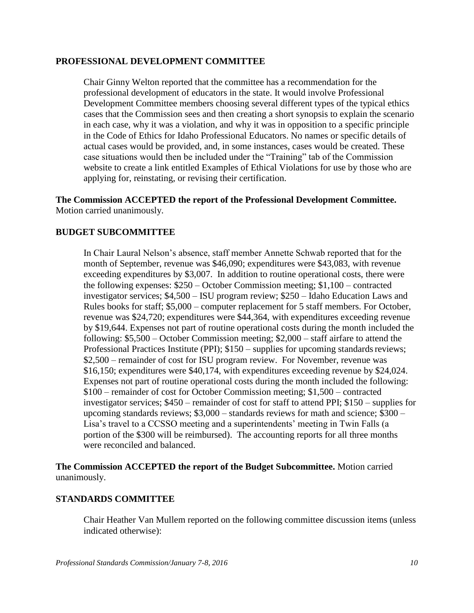#### **PROFESSIONAL DEVELOPMENT COMMITTEE**

Chair Ginny Welton reported that the committee has a recommendation for the professional development of educators in the state. It would involve Professional Development Committee members choosing several different types of the typical ethics cases that the Commission sees and then creating a short synopsis to explain the scenario in each case, why it was a violation, and why it was in opposition to a specific principle in the Code of Ethics for Idaho Professional Educators. No names or specific details of actual cases would be provided, and, in some instances, cases would be created. These case situations would then be included under the "Training" tab of the Commission website to create a link entitled Examples of Ethical Violations for use by those who are applying for, reinstating, or revising their certification.

**The Commission ACCEPTED the report of the Professional Development Committee.** Motion carried unanimously.

## **BUDGET SUBCOMMITTEE**

In Chair Laural Nelson's absence, staff member Annette Schwab reported that for the month of September, revenue was \$46,090; expenditures were \$43,083, with revenue exceeding expenditures by \$3,007. In addition to routine operational costs, there were the following expenses: \$250 – October Commission meeting; \$1,100 – contracted investigator services; \$4,500 – ISU program review; \$250 – Idaho Education Laws and Rules books for staff; \$5,000 – computer replacement for 5 staff members. For October, revenue was \$24,720; expenditures were \$44,364, with expenditures exceeding revenue by \$19,644. Expenses not part of routine operational costs during the month included the following: \$5,500 – October Commission meeting; \$2,000 – staff airfare to attend the Professional Practices Institute (PPI);  $$150$  – supplies for upcoming standards reviews; \$2,500 – remainder of cost for ISU program review. For November, revenue was \$16,150; expenditures were \$40,174, with expenditures exceeding revenue by \$24,024. Expenses not part of routine operational costs during the month included the following: \$100 – remainder of cost for October Commission meeting; \$1,500 – contracted investigator services; \$450 – remainder of cost for staff to attend PPI; \$150 – supplies for upcoming standards reviews; \$3,000 – standards reviews for math and science; \$300 – Lisa's travel to a CCSSO meeting and a superintendents' meeting in Twin Falls (a portion of the \$300 will be reimbursed). The accounting reports for all three months were reconciled and balanced.

**The Commission ACCEPTED the report of the Budget Subcommittee.** Motion carried unanimously.

#### **STANDARDS COMMITTEE**

Chair Heather Van Mullem reported on the following committee discussion items (unless indicated otherwise):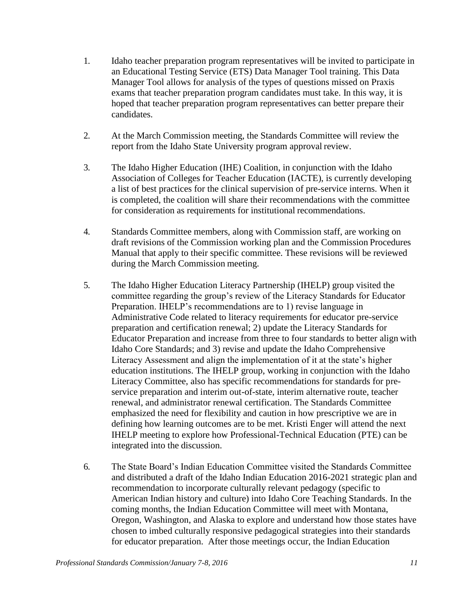- 1. Idaho teacher preparation program representatives will be invited to participate in an Educational Testing Service (ETS) Data Manager Tool training. This Data Manager Tool allows for analysis of the types of questions missed on Praxis exams that teacher preparation program candidates must take. In this way, it is hoped that teacher preparation program representatives can better prepare their candidates.
- 2. At the March Commission meeting, the Standards Committee will review the report from the Idaho State University program approval review.
- 3. The Idaho Higher Education (IHE) Coalition, in conjunction with the Idaho Association of Colleges for Teacher Education (IACTE), is currently developing a list of best practices for the clinical supervision of pre-service interns. When it is completed, the coalition will share their recommendations with the committee for consideration as requirements for institutional recommendations.
- 4. Standards Committee members, along with Commission staff, are working on draft revisions of the Commission working plan and the Commission Procedures Manual that apply to their specific committee. These revisions will be reviewed during the March Commission meeting.
- 5. The Idaho Higher Education Literacy Partnership (IHELP) group visited the committee regarding the group's review of the Literacy Standards for Educator Preparation. IHELP's recommendations are to 1) revise language in Administrative Code related to literacy requirements for educator pre-service preparation and certification renewal; 2) update the Literacy Standards for Educator Preparation and increase from three to four standards to better align with Idaho Core Standards; and 3) revise and update the Idaho Comprehensive Literacy Assessment and align the implementation of it at the state's higher education institutions. The IHELP group, working in conjunction with the Idaho Literacy Committee, also has specific recommendations for standards for preservice preparation and interim out-of-state, interim alternative route, teacher renewal, and administrator renewal certification. The Standards Committee emphasized the need for flexibility and caution in how prescriptive we are in defining how learning outcomes are to be met. Kristi Enger will attend the next IHELP meeting to explore how Professional-Technical Education (PTE) can be integrated into the discussion.
- 6. The State Board's Indian Education Committee visited the Standards Committee and distributed a draft of the Idaho Indian Education 2016-2021 strategic plan and recommendation to incorporate culturally relevant pedagogy (specific to American Indian history and culture) into Idaho Core Teaching Standards. In the coming months, the Indian Education Committee will meet with Montana, Oregon, Washington, and Alaska to explore and understand how those states have chosen to imbed culturally responsive pedagogical strategies into their standards for educator preparation. After those meetings occur, the Indian Education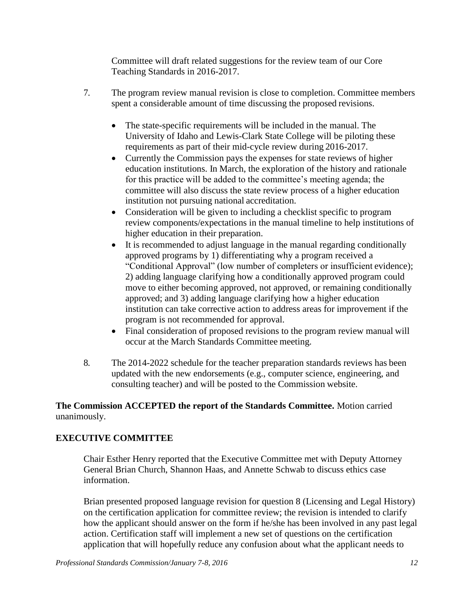Committee will draft related suggestions for the review team of our Core Teaching Standards in 2016-2017.

- 7. The program review manual revision is close to completion. Committee members spent a considerable amount of time discussing the proposed revisions.
	- The state-specific requirements will be included in the manual. The University of Idaho and Lewis-Clark State College will be piloting these requirements as part of their mid-cycle review during 2016-2017.
	- Currently the Commission pays the expenses for state reviews of higher education institutions. In March, the exploration of the history and rationale for this practice will be added to the committee's meeting agenda; the committee will also discuss the state review process of a higher education institution not pursuing national accreditation.
	- Consideration will be given to including a checklist specific to program review components/expectations in the manual timeline to help institutions of higher education in their preparation.
	- It is recommended to adjust language in the manual regarding conditionally approved programs by 1) differentiating why a program received a "Conditional Approval" (low number of completers or insufficient evidence); 2) adding language clarifying how a conditionally approved program could move to either becoming approved, not approved, or remaining conditionally approved; and 3) adding language clarifying how a higher education institution can take corrective action to address areas for improvement if the program is not recommended for approval.
	- Final consideration of proposed revisions to the program review manual will occur at the March Standards Committee meeting.
- 8. The 2014-2022 schedule for the teacher preparation standards reviews has been updated with the new endorsements (e.g., computer science, engineering, and consulting teacher) and will be posted to the Commission website.

## **The Commission ACCEPTED the report of the Standards Committee.** Motion carried unanimously.

# **EXECUTIVE COMMITTEE**

Chair Esther Henry reported that the Executive Committee met with Deputy Attorney General Brian Church, Shannon Haas, and Annette Schwab to discuss ethics case information.

Brian presented proposed language revision for question 8 (Licensing and Legal History) on the certification application for committee review; the revision is intended to clarify how the applicant should answer on the form if he/she has been involved in any past legal action. Certification staff will implement a new set of questions on the certification application that will hopefully reduce any confusion about what the applicant needs to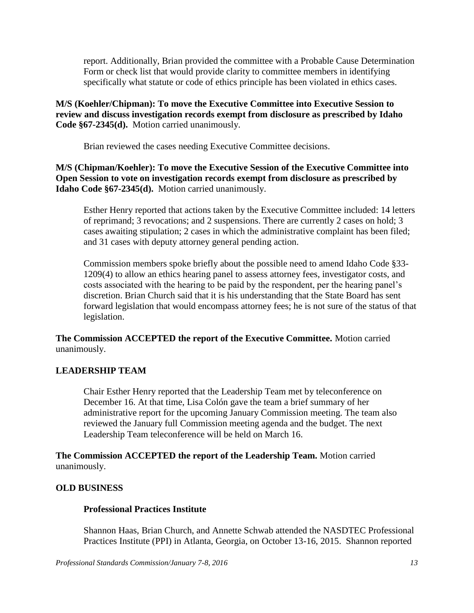report. Additionally, Brian provided the committee with a Probable Cause Determination Form or check list that would provide clarity to committee members in identifying specifically what statute or code of ethics principle has been violated in ethics cases.

## **M/S (Koehler/Chipman): To move the Executive Committee into Executive Session to review and discuss investigation records exempt from disclosure as prescribed by Idaho Code §67-2345(d).** Motion carried unanimously.

Brian reviewed the cases needing Executive Committee decisions.

**M/S (Chipman/Koehler): To move the Executive Session of the Executive Committee into Open Session to vote on investigation records exempt from disclosure as prescribed by Idaho Code §67-2345(d).** Motion carried unanimously.

Esther Henry reported that actions taken by the Executive Committee included: 14 letters of reprimand; 3 revocations; and 2 suspensions. There are currently 2 cases on hold; 3 cases awaiting stipulation; 2 cases in which the administrative complaint has been filed; and 31 cases with deputy attorney general pending action.

Commission members spoke briefly about the possible need to amend Idaho Code §33- 1209(4) to allow an ethics hearing panel to assess attorney fees, investigator costs, and costs associated with the hearing to be paid by the respondent, per the hearing panel's discretion. Brian Church said that it is his understanding that the State Board has sent forward legislation that would encompass attorney fees; he is not sure of the status of that legislation.

**The Commission ACCEPTED the report of the Executive Committee.** Motion carried unanimously.

# **LEADERSHIP TEAM**

Chair Esther Henry reported that the Leadership Team met by teleconference on December 16. At that time, Lisa Colón gave the team a brief summary of her administrative report for the upcoming January Commission meeting. The team also reviewed the January full Commission meeting agenda and the budget. The next Leadership Team teleconference will be held on March 16.

**The Commission ACCEPTED the report of the Leadership Team.** Motion carried unanimously.

## **OLD BUSINESS**

## **Professional Practices Institute**

Shannon Haas, Brian Church, and Annette Schwab attended the NASDTEC Professional Practices Institute (PPI) in Atlanta, Georgia, on October 13-16, 2015. Shannon reported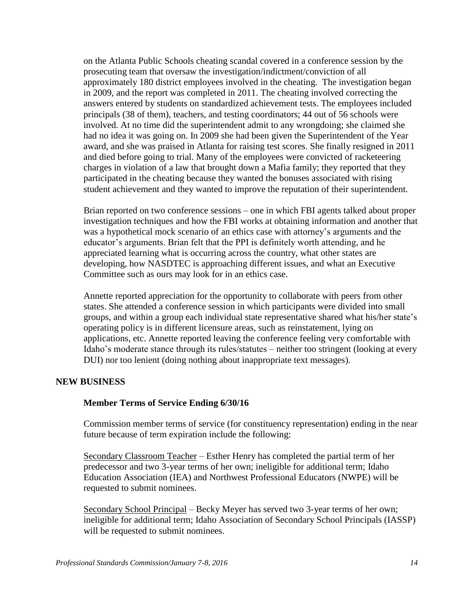on the Atlanta Public Schools cheating scandal covered in a conference session by the prosecuting team that oversaw the investigation/indictment/conviction of all approximately 180 district employees involved in the cheating. The investigation began in 2009, and the report was completed in 2011. The cheating involved correcting the answers entered by students on standardized achievement tests. The employees included principals (38 of them), teachers, and testing coordinators; 44 out of 56 schools were involved. At no time did the superintendent admit to any wrongdoing; she claimed she had no idea it was going on. In 2009 she had been given the Superintendent of the Year award, and she was praised in Atlanta for raising test scores. She finally resigned in 2011 and died before going to trial. Many of the employees were convicted of racketeering charges in violation of a law that brought down a Mafia family; they reported that they participated in the cheating because they wanted the bonuses associated with rising student achievement and they wanted to improve the reputation of their superintendent.

Brian reported on two conference sessions – one in which FBI agents talked about proper investigation techniques and how the FBI works at obtaining information and another that was a hypothetical mock scenario of an ethics case with attorney's arguments and the educator's arguments. Brian felt that the PPI is definitely worth attending, and he appreciated learning what is occurring across the country, what other states are developing, how NASDTEC is approaching different issues, and what an Executive Committee such as ours may look for in an ethics case.

Annette reported appreciation for the opportunity to collaborate with peers from other states. She attended a conference session in which participants were divided into small groups, and within a group each individual state representative shared what his/her state's operating policy is in different licensure areas, such as reinstatement, lying on applications, etc. Annette reported leaving the conference feeling very comfortable with Idaho's moderate stance through its rules/statutes – neither too stringent (looking at every DUI) nor too lenient (doing nothing about inappropriate text messages).

#### **NEW BUSINESS**

#### **Member Terms of Service Ending 6/30/16**

Commission member terms of service (for constituency representation) ending in the near future because of term expiration include the following:

Secondary Classroom Teacher – Esther Henry has completed the partial term of her predecessor and two 3-year terms of her own; ineligible for additional term; Idaho Education Association (IEA) and Northwest Professional Educators (NWPE) will be requested to submit nominees.

Secondary School Principal – Becky Meyer has served two 3-year terms of her own; ineligible for additional term; Idaho Association of Secondary School Principals (IASSP) will be requested to submit nominees.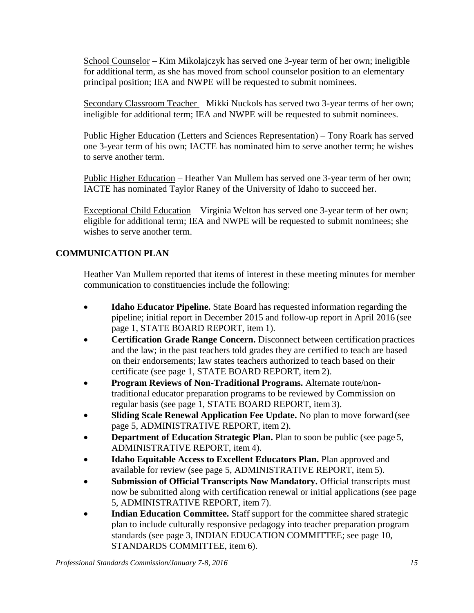School Counselor – Kim Mikolajczyk has served one 3-year term of her own; ineligible for additional term, as she has moved from school counselor position to an elementary principal position; IEA and NWPE will be requested to submit nominees.

Secondary Classroom Teacher – Mikki Nuckols has served two 3-year terms of her own; ineligible for additional term; IEA and NWPE will be requested to submit nominees.

Public Higher Education (Letters and Sciences Representation) – Tony Roark has served one 3-year term of his own; IACTE has nominated him to serve another term; he wishes to serve another term.

Public Higher Education – Heather Van Mullem has served one 3-year term of her own; IACTE has nominated Taylor Raney of the University of Idaho to succeed her.

Exceptional Child Education – Virginia Welton has served one 3-year term of her own; eligible for additional term; IEA and NWPE will be requested to submit nominees; she wishes to serve another term.

# **COMMUNICATION PLAN**

Heather Van Mullem reported that items of interest in these meeting minutes for member communication to constituencies include the following:

- **Idaho Educator Pipeline.** State Board has requested information regarding the pipeline; initial report in December 2015 and follow-up report in April 2016 (see page 1, STATE BOARD REPORT, item 1).
- **Certification Grade Range Concern.** Disconnect between certification practices and the law; in the past teachers told grades they are certified to teach are based on their endorsements; law states teachers authorized to teach based on their certificate (see page 1, STATE BOARD REPORT, item 2).
- **Program Reviews of Non-Traditional Programs.** Alternate route/nontraditional educator preparation programs to be reviewed by Commission on regular basis (see page 1, STATE BOARD REPORT, item 3).
- **Sliding Scale Renewal Application Fee Update.** No plan to move forward (see page 5, ADMINISTRATIVE REPORT, item 2).
- **Department of Education Strategic Plan.** Plan to soon be public (see page 5, ADMINISTRATIVE REPORT, item 4).
- **Idaho Equitable Access to Excellent Educators Plan.** Plan approved and available for review (see page 5, ADMINISTRATIVE REPORT, item 5).
- **Submission of Official Transcripts Now Mandatory.** Official transcripts must now be submitted along with certification renewal or initial applications (see page 5, ADMINISTRATIVE REPORT, item 7).
- **Indian Education Committee.** Staff support for the committee shared strategic plan to include culturally responsive pedagogy into teacher preparation program standards (see page 3, INDIAN EDUCATION COMMITTEE; see page 10, STANDARDS COMMITTEE, item 6).